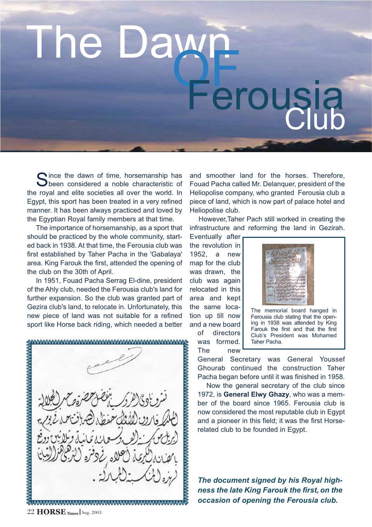## The Dawn<br>Ferousia

Since the dawn of time, horsemanship has<br>Sibeen considered a noble characteristic of the royal and elite societies all over the world. In Egypt, this sport has been treated in a very refined manner. It has been always practiced and loved by the Egyptian Royal family members at that time.

The importance of horsemanship, as a sport that should be practiced by the whole community, started back in 1938. At that time, the Ferousia club was first established by Taher Pacha in the 'Gabalaya' area. King Farouk the first, attended the opening of the club on the 30th of April.

In 1951, Fouad Pacha Serrag El-dine, president of the Ahly club, needed the Ferousia club's land for further expansion. So the club was granted part of Gezira club's land, to relocate in. Unfortunately, this new piece of land was not suitable for a refined sport like Horse back riding, which needed a better

A 2000 DE CARA DE CARA DE CARA DE CARA DE CARA DE CARA DE CARA DE CA Summannannannannannannannannannannan

and smoother land for the horses. Therefore, Fouad Pacha called Mr. Delanquer, president of the Heliopolise company, who granted Ferousia club a piece of land, which is now part of palace hotel and Heliopolise club.

However,Taher Pach still worked in creating the infrastructure and reforming the land in Gezirah.

Eventually after the revolution in 1952, a new map for the club was drawn, the club was again relocated in this area and kept the same location up till now and a new board of directors was formed.

The new



The memorial board hanged in Ferousia club stating that the opening in 1938 was attended by King Farouk the first and that the first Club's President was Mohamed Taher Pacha.

General Secretary was General Youssef Ghourab continued the construction Taher Pacha began before until it was finished in 1958.

Now the general secretary of the club since 1972, is **General Elwy Ghazy**, who was a member of the board since 1965. Ferousia club is now considered the most reputable club in Egypt and a pioneer in this field; it was the first Horserelated club to be founded in Egypt.

*The document signed by his Royal highness the late King Farouk the first, on the occasion of opening the Ferousia club.*

22 **HORSE Times** Aug. 2003